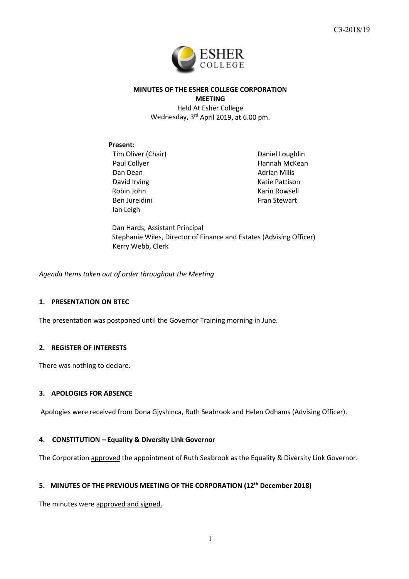

# **MINUTES OF THE ESHER COLLEGE CORPORATION MEETING**

Held At Esher College Wednesday, 3rd April 2019, at 6.00 pm.

### **Present:**

Tim Oliver (Chair) Paul Collyer Dan Dean David Irving Robin John Ben Jureidini Ian Leigh

Daniel Loughlin Hannah McKean Adrian Mills Katie Pattison Karin Rowsell Fran Stewart

Dan Hards, Assistant Principal Stephanie Wiles, Director of Finance and Estates (Advising Officer) Kerry Webb, Clerk

*Agenda Items taken out of order throughout the Meeting*

# **1. PRESENTATION ON BTEC**

The presentation was postponed until the Governor Training morning in June.

#### **2. REGISTER OF INTERESTS**

There was nothing to declare.

#### **3. APOLOGIES FOR ABSENCE**

Apologies were received from Dona Gjyshinca, Ruth Seabrook and Helen Odhams (Advising Officer).

### **4. CONSTITUTION – Equality & Diversity Link Governor**

The Corporation approved the appointment of Ruth Seabrook as the Equality & Diversity Link Governor.

# **5. MINUTES OF THE PREVIOUS MEETING OF THE CORPORATION (12th December 2018)**

The minutes were approved and signed.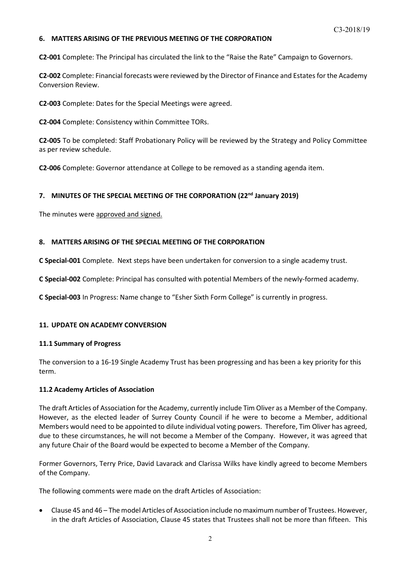# **6. MATTERS ARISING OF THE PREVIOUS MEETING OF THE CORPORATION**

**C2-001** Complete: The Principal has circulated the link to the "Raise the Rate" Campaign to Governors.

**C2-002** Complete: Financial forecasts were reviewed by the Director of Finance and Estates for the Academy Conversion Review.

**C2-003** Complete: Dates for the Special Meetings were agreed.

**C2-004** Complete: Consistency within Committee TORs.

**C2-005** To be completed: Staff Probationary Policy will be reviewed by the Strategy and Policy Committee as per review schedule.

**C2-006** Complete: Governor attendance at College to be removed as a standing agenda item.

# **7. MINUTES OF THE SPECIAL MEETING OF THE CORPORATION (22nd January 2019)**

The minutes were approved and signed.

### **8. MATTERS ARISING OF THE SPECIAL MEETING OF THE CORPORATION**

**C Special-001** Complete. Next steps have been undertaken for conversion to a single academy trust.

**C Special-002** Complete: Principal has consulted with potential Members of the newly-formed academy.

**C Special-003** In Progress: Name change to "Esher Sixth Form College" is currently in progress.

# **11. UPDATE ON ACADEMY CONVERSION**

#### **11.1 Summary of Progress**

The conversion to a 16-19 Single Academy Trust has been progressing and has been a key priority for this term.

# **11.2 Academy Articles of Association**

The draft Articles of Association for the Academy, currently include Tim Oliver as a Member of the Company. However, as the elected leader of Surrey County Council if he were to become a Member, additional Members would need to be appointed to dilute individual voting powers. Therefore, Tim Oliver has agreed, due to these circumstances, he will not become a Member of the Company. However, it was agreed that any future Chair of the Board would be expected to become a Member of the Company.

Former Governors, Terry Price, David Lavarack and Clarissa Wilks have kindly agreed to become Members of the Company.

The following comments were made on the draft Articles of Association:

• Clause 45 and 46 – The model Articles of Association include no maximum number of Trustees. However, in the draft Articles of Association, Clause 45 states that Trustees shall not be more than fifteen. This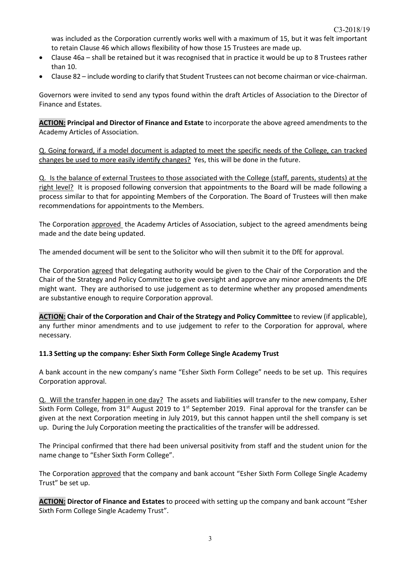was included as the Corporation currently works well with a maximum of 15, but it was felt important to retain Clause 46 which allows flexibility of how those 15 Trustees are made up.

- Clause 46a shall be retained but it was recognised that in practice it would be up to 8 Trustees rather than 10.
- Clause 82 include wording to clarify that Student Trustees can not become chairman or vice-chairman.

Governors were invited to send any typos found within the draft Articles of Association to the Director of Finance and Estates.

**ACTION: Principal and Director of Finance and Estate** to incorporate the above agreed amendments to the Academy Articles of Association.

Q. Going forward, if a model document is adapted to meet the specific needs of the College, can tracked changes be used to more easily identify changes? Yes, this will be done in the future.

Q. Is the balance of external Trustees to those associated with the College (staff, parents, students) at the right level? It is proposed following conversion that appointments to the Board will be made following a process similar to that for appointing Members of the Corporation. The Board of Trustees will then make recommendations for appointments to the Members.

The Corporation approved the Academy Articles of Association, subject to the agreed amendments being made and the date being updated.

The amended document will be sent to the Solicitor who will then submit it to the DfE for approval.

The Corporation agreed that delegating authority would be given to the Chair of the Corporation and the Chair of the Strategy and Policy Committee to give oversight and approve any minor amendments the DfE might want. They are authorised to use judgement as to determine whether any proposed amendments are substantive enough to require Corporation approval.

**ACTION: Chair of the Corporation and Chair of the Strategy and Policy Committee** to review (if applicable), any further minor amendments and to use judgement to refer to the Corporation for approval, where necessary.

# **11.3 Setting up the company: Esher Sixth Form College Single Academy Trust**

A bank account in the new company's name "Esher Sixth Form College" needs to be set up. This requires Corporation approval.

Q. Will the transfer happen in one day? The assets and liabilities will transfer to the new company, Esher Sixth Form College, from 31<sup>st</sup> August 2019 to 1<sup>st</sup> September 2019. Final approval for the transfer can be given at the next Corporation meeting in July 2019, but this cannot happen until the shell company is set up. During the July Corporation meeting the practicalities of the transfer will be addressed.

The Principal confirmed that there had been universal positivity from staff and the student union for the name change to "Esher Sixth Form College".

The Corporation approved that the company and bank account "Esher Sixth Form College Single Academy Trust" be set up.

**ACTION: Director of Finance and Estates** to proceed with setting up the company and bank account "Esher Sixth Form College Single Academy Trust".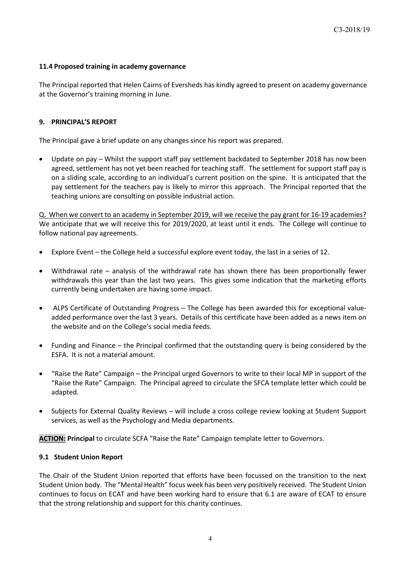# **11.4 Proposed training in academy governance**

The Principal reported that Helen Cairns of Eversheds has kindly agreed to present on academy governance at the Governor's training morning in June.

# **9. PRINCIPAL'S REPORT**

The Principal gave a brief update on any changes since his report was prepared.

• Update on pay – Whilst the support staff pay settlement backdated to September 2018 has now been agreed, settlement has not yet been reached for teaching staff. The settlement for support staff pay is on a sliding scale, according to an individual's current position on the spine. It is anticipated that the pay settlement for the teachers pay is likely to mirror this approach. The Principal reported that the teaching unions are consulting on possible industrial action.

Q. When we convert to an academy in September 2019, will we receive the pay grant for 16-19 academies? We anticipate that we will receive this for 2019/2020, at least until it ends. The College will continue to follow national pay agreements.

- Explore Event the College held a successful explore event today, the last in a series of 12.
- Withdrawal rate analysis of the withdrawal rate has shown there has been proportionally fewer withdrawals this year than the last two years. This gives some indication that the marketing efforts currently being undertaken are having some impact.
- ALPS Certificate of Outstanding Progress The College has been awarded this for exceptional valueadded performance over the last 3 years. Details of this certificate have been added as a news item on the website and on the College's social media feeds.
- Funding and Finance the Principal confirmed that the outstanding query is being considered by the ESFA. It is not a material amount.
- "Raise the Rate" Campaign the Principal urged Governors to write to their local MP in support of the "Raise the Rate" Campaign. The Principal agreed to circulate the SFCA template letter which could be adapted.
- Subjects for External Quality Reviews will include a cross college review looking at Student Support services, as well as the Psychology and Media departments.

**ACTION: Principal** to circulate SCFA "Raise the Rate" Campaign template letter to Governors.

# **9.1 Student Union Report**

The Chair of the Student Union reported that efforts have been focussed on the transition to the next Student Union body. The "Mental Health" focus week has been very positively received. The Student Union continues to focus on ECAT and have been working hard to ensure that 6.1 are aware of ECAT to ensure that the strong relationship and support for this charity continues.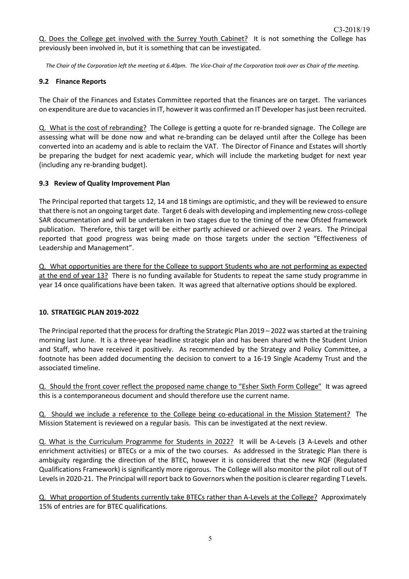Q. Does the College get involved with the Surrey Youth Cabinet? It is not something the College has previously been involved in, but it is something that can be investigated.

*The Chair of the Corporation left the meeting at 6.40pm. The Vice-Chair of the Corporation took over as Chair of the meeting.* 

### **9.2 Finance Reports**

The Chair of the Finances and Estates Committee reported that the finances are on target. The variances on expenditure are due to vacancies in IT, however it was confirmed an IT Developer has just been recruited.

Q. What is the cost of rebranding? The College is getting a quote for re-branded signage. The College are assessing what will be done now and what re-branding can be delayed until after the College has been converted into an academy and is able to reclaim the VAT. The Director of Finance and Estates will shortly be preparing the budget for next academic year, which will include the marketing budget for next year (including any re-branding budget).

### **9.3 Review of Quality Improvement Plan**

The Principal reported that targets 12, 14 and 18 timings are optimistic, and they will be reviewed to ensure that there is not an ongoing target date. Target 6 deals with developing and implementing new cross-college SAR documentation and will be undertaken in two stages due to the timing of the new Ofsted framework publication. Therefore, this target will be either partly achieved or achieved over 2 years. The Principal reported that good progress was being made on those targets under the section "Effectiveness of Leadership and Management".

Q. What opportunities are there for the College to support Students who are not performing as expected at the end of year 13? There is no funding available for Students to repeat the same study programme in year 14 once qualifications have been taken. It was agreed that alternative options should be explored.

# **10. STRATEGIC PLAN 2019-2022**

The Principal reported that the process for drafting the Strategic Plan 2019 – 2022 was started at the training morning last June. It is a three-year headline strategic plan and has been shared with the Student Union and Staff, who have received it positively. As recommended by the Strategy and Policy Committee, a footnote has been added documenting the decision to convert to a 16-19 Single Academy Trust and the associated timeline.

Q. Should the front cover reflect the proposed name change to "Esher Sixth Form College" It was agreed this is a contemporaneous document and should therefore use the current name.

Q. Should we include a reference to the College being co-educational in the Mission Statement? The Mission Statement is reviewed on a regular basis. This can be investigated at the next review.

Q. What is the Curriculum Programme for Students in 2022? It will be A-Levels (3 A-Levels and other enrichment activities) or BTECs or a mix of the two courses. As addressed in the Strategic Plan there is ambiguity regarding the direction of the BTEC, however it is considered that the new RQF (Regulated Qualifications Framework) is significantly more rigorous. The College will also monitor the pilot roll out of T Levels in 2020-21. The Principal will report back to Governors when the position is clearer regarding T Levels.

Q. What proportion of Students currently take BTECs rather than A-Levels at the College? Approximately 15% of entries are for BTEC qualifications.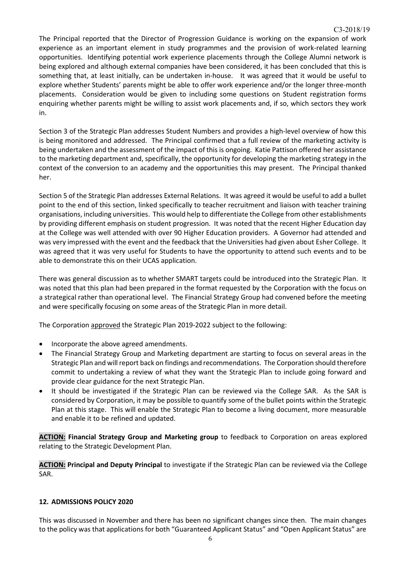The Principal reported that the Director of Progression Guidance is working on the expansion of work experience as an important element in study programmes and the provision of work-related learning opportunities. Identifying potential work experience placements through the College Alumni network is being explored and although external companies have been considered, it has been concluded that this is something that, at least initially, can be undertaken in-house. It was agreed that it would be useful to explore whether Students' parents might be able to offer work experience and/or the longer three-month placements. Consideration would be given to including some questions on Student registration forms enquiring whether parents might be willing to assist work placements and, if so, which sectors they work in.

Section 3 of the Strategic Plan addresses Student Numbers and provides a high-level overview of how this is being monitored and addressed. The Principal confirmed that a full review of the marketing activity is being undertaken and the assessment of the impact of this is ongoing. Katie Pattison offered her assistance to the marketing department and, specifically, the opportunity for developing the marketing strategy in the context of the conversion to an academy and the opportunities this may present. The Principal thanked her.

Section 5 of the Strategic Plan addresses External Relations. It was agreed it would be useful to add a bullet point to the end of this section, linked specifically to teacher recruitment and liaison with teacher training organisations, including universities. This would help to differentiate the College from other establishments by providing different emphasis on student progression. It was noted that the recent Higher Education day at the College was well attended with over 90 Higher Education providers. A Governor had attended and was very impressed with the event and the feedback that the Universities had given about Esher College. It was agreed that it was very useful for Students to have the opportunity to attend such events and to be able to demonstrate this on their UCAS application.

There was general discussion as to whether SMART targets could be introduced into the Strategic Plan. It was noted that this plan had been prepared in the format requested by the Corporation with the focus on a strategical rather than operational level. The Financial Strategy Group had convened before the meeting and were specifically focusing on some areas of the Strategic Plan in more detail.

The Corporation approved the Strategic Plan 2019-2022 subject to the following:

- Incorporate the above agreed amendments.
- The Financial Strategy Group and Marketing department are starting to focus on several areas in the Strategic Plan and will report back on findings and recommendations. The Corporation should therefore commit to undertaking a review of what they want the Strategic Plan to include going forward and provide clear guidance for the next Strategic Plan.
- It should be investigated if the Strategic Plan can be reviewed via the College SAR. As the SAR is considered by Corporation, it may be possible to quantify some of the bullet points within the Strategic Plan at this stage. This will enable the Strategic Plan to become a living document, more measurable and enable it to be refined and updated.

**ACTION: Financial Strategy Group and Marketing group** to feedback to Corporation on areas explored relating to the Strategic Development Plan.

**ACTION: Principal and Deputy Principal** to investigate if the Strategic Plan can be reviewed via the College SAR.

# **12. ADMISSIONS POLICY 2020**

This was discussed in November and there has been no significant changes since then. The main changes to the policy was that applications for both "Guaranteed Applicant Status" and "Open Applicant Status" are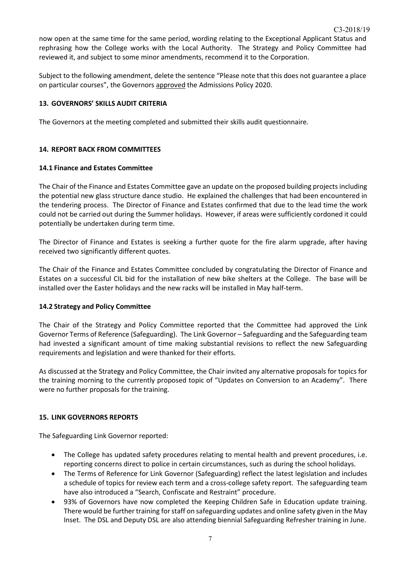now open at the same time for the same period, wording relating to the Exceptional Applicant Status and rephrasing how the College works with the Local Authority. The Strategy and Policy Committee had reviewed it, and subject to some minor amendments, recommend it to the Corporation.

Subject to the following amendment, delete the sentence "Please note that this does not guarantee a place on particular courses", the Governors approved the Admissions Policy 2020.

# **13. GOVERNORS' SKILLS AUDIT CRITERIA**

The Governors at the meeting completed and submitted their skills audit questionnaire.

# **14. REPORT BACK FROM COMMITTEES**

# **14.1 Finance and Estates Committee**

The Chair of the Finance and Estates Committee gave an update on the proposed building projects including the potential new glass structure dance studio. He explained the challenges that had been encountered in the tendering process. The Director of Finance and Estates confirmed that due to the lead time the work could not be carried out during the Summer holidays. However, if areas were sufficiently cordoned it could potentially be undertaken during term time.

The Director of Finance and Estates is seeking a further quote for the fire alarm upgrade, after having received two significantly different quotes.

The Chair of the Finance and Estates Committee concluded by congratulating the Director of Finance and Estates on a successful CIL bid for the installation of new bike shelters at the College. The base will be installed over the Easter holidays and the new racks will be installed in May half-term.

# **14.2 Strategy and Policy Committee**

The Chair of the Strategy and Policy Committee reported that the Committee had approved the Link Governor Terms of Reference (Safeguarding). The Link Governor – Safeguarding and the Safeguarding team had invested a significant amount of time making substantial revisions to reflect the new Safeguarding requirements and legislation and were thanked for their efforts.

As discussed at the Strategy and Policy Committee, the Chair invited any alternative proposals for topics for the training morning to the currently proposed topic of "Updates on Conversion to an Academy". There were no further proposals for the training.

# **15. LINK GOVERNORS REPORTS**

The Safeguarding Link Governor reported:

- The College has updated safety procedures relating to mental health and prevent procedures, i.e. reporting concerns direct to police in certain circumstances, such as during the school holidays.
- The Terms of Reference for Link Governor (Safeguarding) reflect the latest legislation and includes a schedule of topics for review each term and a cross-college safety report. The safeguarding team have also introduced a "Search, Confiscate and Restraint" procedure.
- 93% of Governors have now completed the Keeping Children Safe in Education update training. There would be further training for staff on safeguarding updates and online safety given in the May Inset. The DSL and Deputy DSL are also attending biennial Safeguarding Refresher training in June.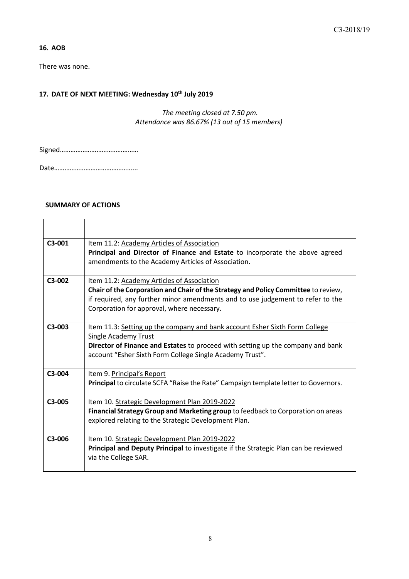# **16. AOB**

There was none.

# **17. DATE OF NEXT MEETING: Wednesday 10th July 2019**

*The meeting closed at 7.50 pm. Attendance was 86.67% (13 out of 15 members)*

Signed………………………………………

Date………………………………………...

### **SUMMARY OF ACTIONS**

| $C3-001$            | Item 11.2: Academy Articles of Association<br>Principal and Director of Finance and Estate to incorporate the above agreed<br>amendments to the Academy Articles of Association.                                                                                 |
|---------------------|------------------------------------------------------------------------------------------------------------------------------------------------------------------------------------------------------------------------------------------------------------------|
| $C3-002$            | Item 11.2: Academy Articles of Association<br>Chair of the Corporation and Chair of the Strategy and Policy Committee to review,<br>if required, any further minor amendments and to use judgement to refer to the<br>Corporation for approval, where necessary. |
| $C3-003$            | Item 11.3: Setting up the company and bank account Esher Sixth Form College<br><b>Single Academy Trust</b><br>Director of Finance and Estates to proceed with setting up the company and bank<br>account "Esher Sixth Form College Single Academy Trust".        |
| C3-004              | Item 9. Principal's Report<br>Principal to circulate SCFA "Raise the Rate" Campaign template letter to Governors.                                                                                                                                                |
| $C3-005$            | Item 10. Strategic Development Plan 2019-2022<br>Financial Strategy Group and Marketing group to feedback to Corporation on areas<br>explored relating to the Strategic Development Plan.                                                                        |
| C <sub>3</sub> -006 | Item 10. Strategic Development Plan 2019-2022<br><b>Principal and Deputy Principal to investigate if the Strategic Plan can be reviewed</b><br>via the College SAR.                                                                                              |